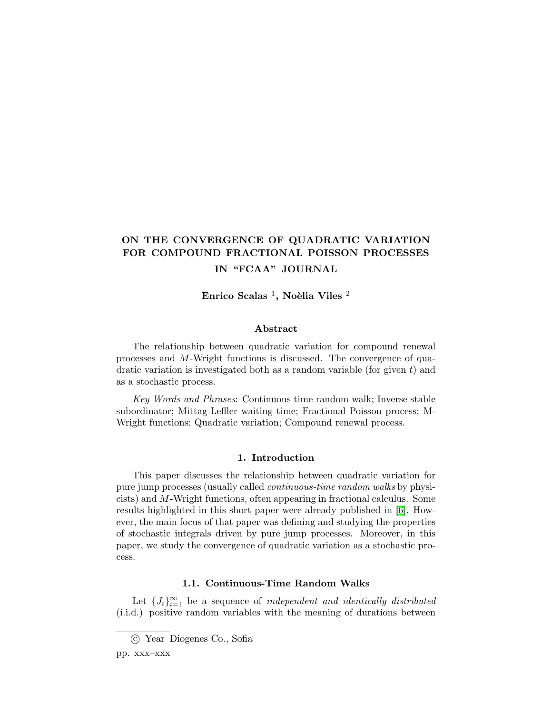# ON THE CONVERGENCE OF QUADRATIC VARIATION FOR COMPOUND FRACTIONAL POISSON PROCESSES IN "FCAA" JOURNAL

Enrico Scalas <sup>1</sup>, Noèlia Viles <sup>2</sup>

### Abstract

The relationship between quadratic variation for compound renewal processes and M-Wright functions is discussed. The convergence of quadratic variation is investigated both as a random variable (for given  $t$ ) and as a stochastic process.

Key Words and Phrases: Continuous time random walk; Inverse stable subordinator; Mittag-Leffler waiting time; Fractional Poisson process; M-Wright functions; Quadratic variation; Compound renewal process.

## 1. Introduction

<span id="page-0-0"></span>This paper discusses the relationship between quadratic variation for pure jump processes (usually called continuous-time random walks by physicists) and M-Wright functions, often appearing in fractional calculus. Some results highlighted in this short paper were already published in [\[6\]](#page-15-0). However, the main focus of that paper was defining and studying the properties of stochastic integrals driven by pure jump processes. Moreover, in this paper, we study the convergence of quadratic variation as a stochastic process.

#### 1.1. Continuous-Time Random Walks

Let  $\{J_i\}_{i=1}^{\infty}$  be a sequence of *independent and identically distributed* (i.i.d.) positive random variables with the meaning of durations between

c Year Diogenes Co., Sofia

pp. xxx–xxx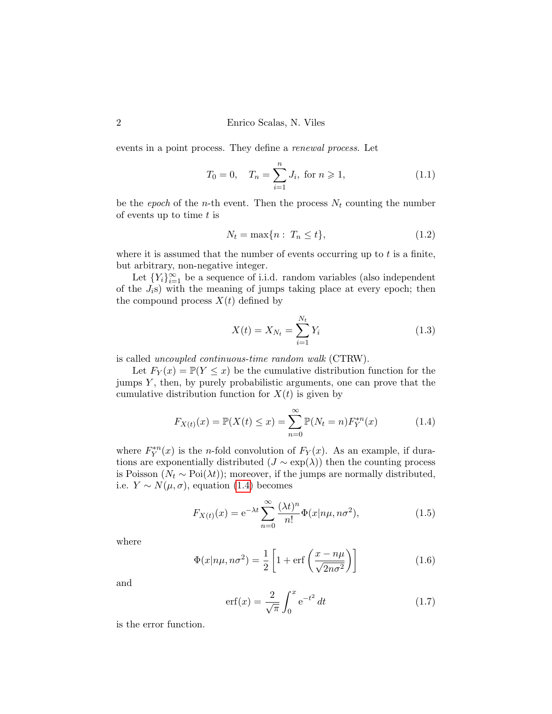events in a point process. They define a renewal process. Let

$$
T_0 = 0, \quad T_n = \sum_{i=1}^n J_i, \text{ for } n \ge 1,
$$
 (1.1)

be the epoch of the n-th event. Then the process  $N_t$  counting the number of events up to time  $t$  is

$$
N_t = \max\{n : T_n \le t\},\tag{1.2}
$$

where it is assumed that the number of events occurring up to  $t$  is a finite, but arbitrary, non-negative integer.

Let  ${Y_i}_{i=1}^{\infty}$  be a sequence of i.i.d. random variables (also independent of the  $J_i$ s) with the meaning of jumps taking place at every epoch; then the compound process  $X(t)$  defined by

$$
X(t) = X_{N_t} = \sum_{i=1}^{N_t} Y_i
$$
\n(1.3)

is called uncoupled continuous-time random walk (CTRW).

Let  $F_Y(x) = \mathbb{P}(Y \leq x)$  be the cumulative distribution function for the jumps  $Y$ , then, by purely probabilistic arguments, one can prove that the cumulative distribution function for  $X(t)$  is given by

<span id="page-1-0"></span>
$$
F_{X(t)}(x) = \mathbb{P}(X(t) \le x) = \sum_{n=0}^{\infty} \mathbb{P}(N_t = n) F_Y^{*n}(x)
$$
 (1.4)

where  $F_Y^{*n}(x)$  is the *n*-fold convolution of  $F_Y(x)$ . As an example, if durations are exponentially distributed  $(J \sim \exp(\lambda))$  then the counting process is Poisson ( $N_t \sim \text{Poi}(\lambda t)$ ); moreover, if the jumps are normally distributed, i.e.  $Y \sim N(\mu, \sigma)$ , equation [\(1.4\)](#page-1-0) becomes

$$
F_{X(t)}(x) = e^{-\lambda t} \sum_{n=0}^{\infty} \frac{(\lambda t)^n}{n!} \Phi(x|n\mu, n\sigma^2), \qquad (1.5)
$$

where

$$
\Phi(x|n\mu, n\sigma^2) = \frac{1}{2} \left[ 1 + \text{erf}\left(\frac{x - n\mu}{\sqrt{2n\sigma^2}}\right) \right]
$$
(1.6)

and

$$
erf(x) = \frac{2}{\sqrt{\pi}} \int_0^x e^{-t^2} dt
$$
 (1.7)

is the error function.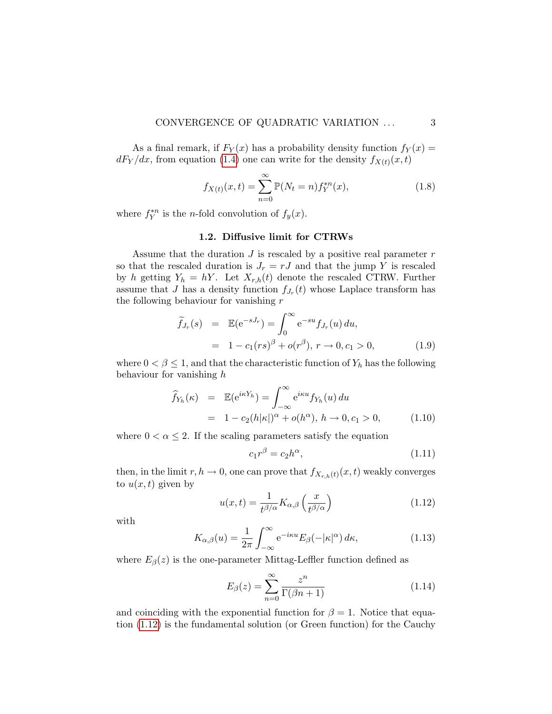#### CONVERGENCE OF QUADRATIC VARIATION ... 3

As a final remark, if  $F_Y(x)$  has a probability density function  $f_Y(x) =$  $dF_Y/dx$ , from equation [\(1.4\)](#page-1-0) one can write for the density  $f_{X(t)}(x,t)$ 

<span id="page-2-3"></span>
$$
f_{X(t)}(x,t) = \sum_{n=0}^{\infty} \mathbb{P}(N_t = n) f_Y^{*n}(x),
$$
\n(1.8)

where  $f_Y^{*n}$  is the *n*-fold convolution of  $f_y(x)$ .

### 1.2. Diffusive limit for CTRWs

Assume that the duration  $J$  is rescaled by a positive real parameter  $r$ so that the rescaled duration is  $J_r = rJ$  and that the jump Y is rescaled by h getting  $Y_h = hY$ . Let  $X_{r,h}(t)$  denote the rescaled CTRW. Further assume that J has a density function  $f_{J_r}(t)$  whose Laplace transform has the following behaviour for vanishing  $r$ 

<span id="page-2-1"></span>
$$
\widetilde{f}_{J_r}(s) = \mathbb{E}(e^{-sJ_r}) = \int_0^\infty e^{-su} f_{J_r}(u) du,
$$
\n
$$
= 1 - c_1(rs)^{\beta} + o(r^{\beta}), \ r \to 0, c_1 > 0,
$$
\n(1.9)

where  $0 < \beta \leq 1$ , and that the characteristic function of  $Y_h$  has the following behaviour for vanishing h

<span id="page-2-2"></span>
$$
\widehat{f}_{Y_h}(\kappa) = \mathbb{E}(\mathrm{e}^{i\kappa Y_h}) = \int_{-\infty}^{\infty} \mathrm{e}^{i\kappa u} f_{Y_h}(u) du
$$

$$
= 1 - c_2(h|\kappa|)^{\alpha} + o(h^{\alpha}), \quad h \to 0, c_1 > 0,
$$
(1.10)

where  $0 < \alpha \leq 2$ . If the scaling parameters satisfy the equation

<span id="page-2-4"></span>
$$
c_1 r^\beta = c_2 h^\alpha,\tag{1.11}
$$

then, in the limit  $r, h \to 0$ , one can prove that  $f_{X_{r,h}(t)}(x, t)$  weakly converges to  $u(x, t)$  given by

<span id="page-2-0"></span>
$$
u(x,t) = \frac{1}{t^{\beta/\alpha}} K_{\alpha,\beta} \left(\frac{x}{t^{\beta/\alpha}}\right)
$$
 (1.12)

with

$$
K_{\alpha,\beta}(u) = \frac{1}{2\pi} \int_{-\infty}^{\infty} e^{-i\kappa u} E_{\beta}(-|\kappa|^{\alpha}) d\kappa,
$$
 (1.13)

where  $E_{\beta}(z)$  is the one-parameter Mittag-Leffler function defined as

$$
E_{\beta}(z) = \sum_{n=0}^{\infty} \frac{z^n}{\Gamma(\beta n + 1)}
$$
\n(1.14)

and coinciding with the exponential function for  $\beta = 1$ . Notice that equation [\(1.12\)](#page-2-0) is the fundamental solution (or Green function) for the Cauchy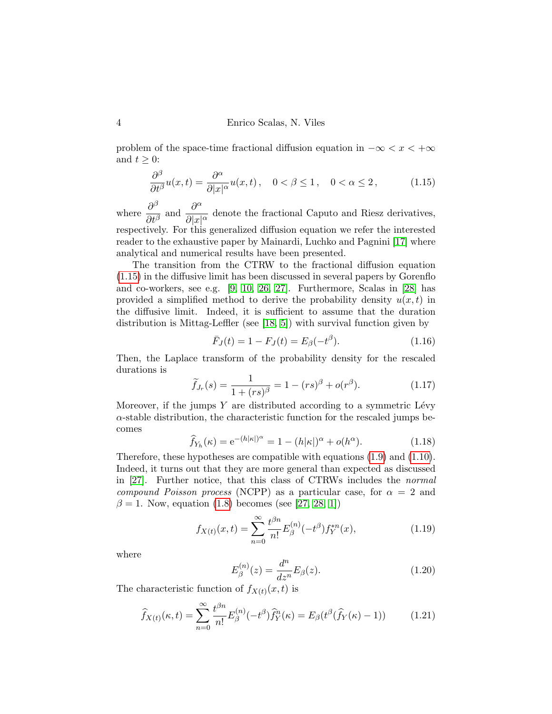problem of the space-time fractional diffusion equation in  $-\infty < x < +\infty$ and  $t \geq 0$ :

<span id="page-3-0"></span>
$$
\frac{\partial^{\beta}}{\partial t^{\beta}}u(x,t) = \frac{\partial^{\alpha}}{\partial |x|^{\alpha}}u(x,t), \quad 0 < \beta \le 1, \quad 0 < \alpha \le 2, \tag{1.15}
$$

where  $\frac{\partial^{\beta}}{\partial x^{\beta}}$  $\frac{\partial^{\beta}}{\partial t^{\beta}}$  and  $\frac{\partial^{\alpha}}{\partial |x|}$  $\frac{\partial}{\partial |x|^{\alpha}}$  denote the fractional Caputo and Riesz derivatives, respectively. For this generalized diffusion equation we refer the interested reader to the exhaustive paper by Mainardi, Luchko and Pagnini [\[17\]](#page-16-0) where analytical and numerical results have been presented.

The transition from the CTRW to the fractional diffusion equation [\(1.15\)](#page-3-0) in the diffusive limit has been discussed in several papers by Gorenflo and co-workers, see e.g. [\[9,](#page-15-1) [10,](#page-15-2) [26,](#page-17-0) [27\]](#page-17-1). Furthermore, Scalas in [\[28\]](#page-17-2) has provided a simplified method to derive the probability density  $u(x, t)$  in the diffusive limit. Indeed, it is sufficient to assume that the duration distribution is Mittag-Leffler (see [\[18,](#page-16-1) [5\]](#page-15-3)) with survival function given by

$$
\bar{F}_J(t) = 1 - F_J(t) = E_\beta(-t^\beta). \tag{1.16}
$$

Then, the Laplace transform of the probability density for the rescaled durations is

$$
\widetilde{f}_{J_r}(s) = \frac{1}{1 + (rs)^{\beta}} = 1 - (rs)^{\beta} + o(r^{\beta}).
$$
\n(1.17)

Moreover, if the jumps  $Y$  are distributed according to a symmetric Lévy  $\alpha$ -stable distribution, the characteristic function for the rescaled jumps becomes

$$
\widehat{f}_{Y_h}(\kappa) = e^{-(h|\kappa|)^{\alpha}} = 1 - (h|\kappa|)^{\alpha} + o(h^{\alpha}).
$$
\n(1.18)

Therefore, these hypotheses are compatible with equations [\(1.9\)](#page-2-1) and [\(1.10\)](#page-2-2). Indeed, it turns out that they are more general than expected as discussed in [\[27\]](#page-17-1). Further notice, that this class of CTRWs includes the normal compound Poisson process (NCPP) as a particular case, for  $\alpha = 2$  and  $\beta = 1$ . Now, equation [\(1.8\)](#page-2-3) becomes (see [\[27,](#page-17-1) [28,](#page-17-2) [1\]](#page-15-4))

$$
f_{X(t)}(x,t) = \sum_{n=0}^{\infty} \frac{t^{\beta n}}{n!} E_{\beta}^{(n)}(-t^{\beta}) f_{Y}^{*n}(x), \qquad (1.19)
$$

where

$$
E_{\beta}^{(n)}(z) = \frac{d^n}{dz^n} E_{\beta}(z).
$$
 (1.20)

The characteristic function of  $f_{X(t)}(x,t)$  is

<span id="page-3-1"></span>
$$
\widehat{f}_{X(t)}(\kappa, t) = \sum_{n=0}^{\infty} \frac{t^{\beta n}}{n!} E_{\beta}^{(n)}(-t^{\beta}) \widehat{f}_{Y}^{n}(\kappa) = E_{\beta}(t^{\beta}(\widehat{f}_{Y}(\kappa) - 1)) \tag{1.21}
$$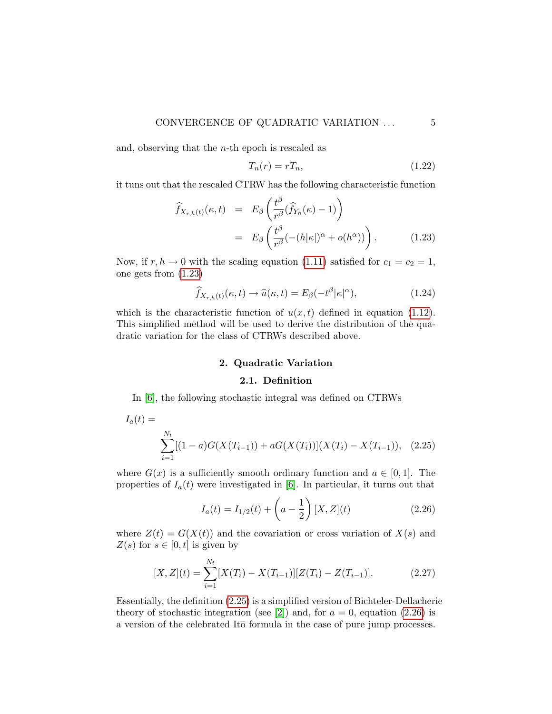and, observing that the  $n$ -th epoch is rescaled as

$$
T_n(r) = rT_n,\tag{1.22}
$$

it tuns out that the rescaled CTRW has the following characteristic function

<span id="page-4-0"></span>
$$
\widehat{f}_{X_{r,h}(t)}(\kappa, t) = E_{\beta} \left( \frac{t^{\beta}}{r^{\beta}} (\widehat{f}_{Y_h}(\kappa) - 1) \right)
$$
\n
$$
= E_{\beta} \left( \frac{t^{\beta}}{r^{\beta}} (- (h|\kappa|)^{\alpha} + o(h^{\alpha})) \right). \tag{1.23}
$$

Now, if  $r, h \to 0$  with the scaling equation [\(1.11\)](#page-2-4) satisfied for  $c_1 = c_2 = 1$ , one gets from [\(1.23\)](#page-4-0)

$$
\widehat{f}_{X_{r,h}(t)}(\kappa,t) \to \widehat{u}(\kappa,t) = E_{\beta}(-t^{\beta}|\kappa|^{\alpha}), \tag{1.24}
$$

which is the characteristic function of  $u(x, t)$  defined in equation [\(1.12\)](#page-2-0). This simplified method will be used to derive the distribution of the quadratic variation for the class of CTRWs described above.

# 2. Quadratic Variation

# <span id="page-4-1"></span>2.1. Definition

In [\[6\]](#page-15-0), the following stochastic integral was defined on CTRWs

$$
I_a(t) = \sum_{i=1}^{N_t} [(1-a)G(X(T_{i-1})) + aG(X(T_i))](X(T_i) - X(T_{i-1})), \quad (2.25)
$$

where  $G(x)$  is a sufficiently smooth ordinary function and  $a \in [0,1]$ . The properties of  $I_a(t)$  were investigated in [\[6\]](#page-15-0). In particular, it turns out that

<span id="page-4-2"></span>
$$
I_a(t) = I_{1/2}(t) + \left(a - \frac{1}{2}\right)[X, Z](t)
$$
\n(2.26)

where  $Z(t) = G(X(t))$  and the covariation or cross variation of  $X(s)$  and  $Z(s)$  for  $s \in [0, t]$  is given by

$$
[X, Z](t) = \sum_{i=1}^{N_t} [X(T_i) - X(T_{i-1})][Z(T_i) - Z(T_{i-1})].
$$
 (2.27)

Essentially, the definition [\(2.25\)](#page-4-1) is a simplified version of Bichteler-Dellacherie theory of stochastic integration (see [\[2\]](#page-15-5)) and, for  $a = 0$ , equation [\(2.26\)](#page-4-2) is a version of the celebrated Ito formula in the case of pure jump processes.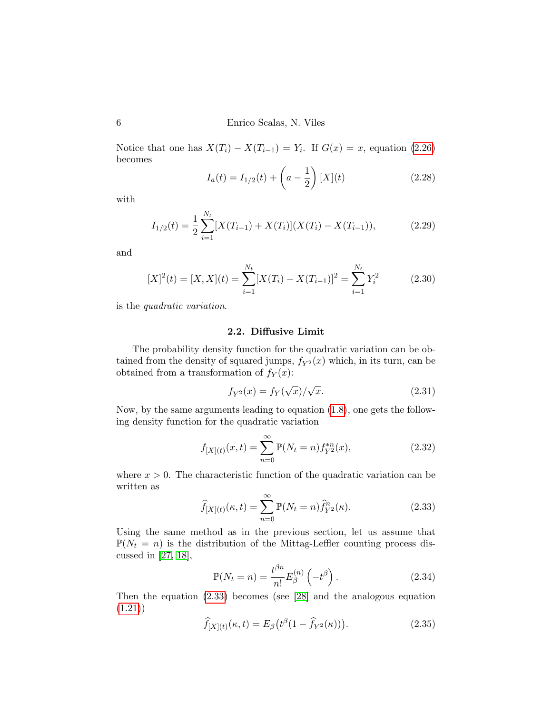Notice that one has  $X(T_i) - X(T_{i-1}) = Y_i$ . If  $G(x) = x$ , equation [\(2.26\)](#page-4-2) becomes

$$
I_a(t) = I_{1/2}(t) + \left(a - \frac{1}{2}\right)[X](t)
$$
\n(2.28)

with

$$
I_{1/2}(t) = \frac{1}{2} \sum_{i=1}^{N_t} [X(T_{i-1}) + X(T_i)](X(T_i) - X(T_{i-1})),
$$
\n(2.29)

and

<span id="page-5-2"></span>
$$
[X]^2(t) = [X, X](t) = \sum_{i=1}^{N_t} [X(T_i) - X(T_{i-1})]^2 = \sum_{i=1}^{N_t} Y_i^2
$$
 (2.30)

is the quadratic variation.

#### 2.2. Diffusive Limit

The probability density function for the quadratic variation can be obtained from the density of squared jumps,  $f_{Y^2}(x)$  which, in its turn, can be obtained from a transformation of  $f_Y(x)$ :

$$
f_{Y^2}(x) = f_Y(\sqrt{x})/\sqrt{x}.\tag{2.31}
$$

Now, by the same arguments leading to equation [\(1.8\)](#page-2-3), one gets the following density function for the quadratic variation

$$
f_{[X](t)}(x,t) = \sum_{n=0}^{\infty} \mathbb{P}(N_t = n) f_{Y^2}^{*n}(x),
$$
\n(2.32)

where  $x > 0$ . The characteristic function of the quadratic variation can be written as

<span id="page-5-0"></span>
$$
\widehat{f}_{[X](t)}(\kappa, t) = \sum_{n=0}^{\infty} \mathbb{P}(N_t = n) \widehat{f}_{Y^2}^n(\kappa).
$$
\n(2.33)

Using the same method as in the previous section, let us assume that  $\mathbb{P}(N_t = n)$  is the distribution of the Mittag-Leffler counting process discussed in [\[27,](#page-17-1) [18\]](#page-16-1),

$$
\mathbb{P}(N_t = n) = \frac{t^{\beta n}}{n!} E_{\beta}^{(n)} \left( -t^{\beta} \right). \tag{2.34}
$$

Then the equation [\(2.33\)](#page-5-0) becomes (see [\[28\]](#page-17-2) and the analogous equation [\(1.21\)](#page-3-1))

<span id="page-5-1"></span>
$$
\widehat{f}_{[X](t)}(\kappa, t) = E_{\beta}\big(t^{\beta}(1 - \widehat{f}_{Y^2}(\kappa))\big). \tag{2.35}
$$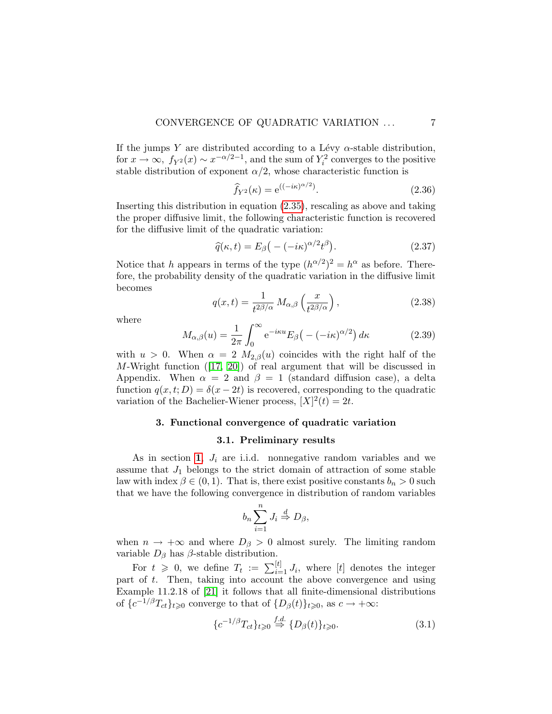If the jumps Y are distributed according to a Lévy  $\alpha$ -stable distribution, for  $x \to \infty$ ,  $f_{Y^2}(x) \sim x^{-\alpha/2 - 1}$ , and the sum of  $Y_i^2$  converges to the positive stable distribution of exponent  $\alpha/2$ , whose characteristic function is

$$
\widehat{f}_{Y^2}(\kappa) = e^{((-i\kappa)^{\alpha/2})}.
$$
\n(2.36)

Inserting this distribution in equation [\(2.35\)](#page-5-1), rescaling as above and taking the proper diffusive limit, the following characteristic function is recovered for the diffusive limit of the quadratic variation:

$$
\widehat{q}(\kappa, t) = E_{\beta} \big( -(-i\kappa)^{\alpha/2} t^{\beta} \big). \tag{2.37}
$$

Notice that h appears in terms of the type  $(h^{\alpha/2})^2 = h^{\alpha}$  as before. Therefore, the probability density of the quadratic variation in the diffusive limit becomes

$$
q(x,t) = \frac{1}{t^{2\beta/\alpha}} M_{\alpha,\beta} \left(\frac{x}{t^{2\beta/\alpha}}\right),
$$
\n(2.38)

where

$$
M_{\alpha,\beta}(u) = \frac{1}{2\pi} \int_0^\infty e^{-i\kappa u} E_\beta(-(-i\kappa)^{\alpha/2}) d\kappa \tag{2.39}
$$

with  $u > 0$ . When  $\alpha = 2 M_{2,\beta}(u)$  coincides with the right half of the M-Wright function([\[17,](#page-16-0) [20\]](#page-16-2)) of real argument that will be discussed in Appendix. When  $\alpha = 2$  and  $\beta = 1$  (standard diffusion case), a delta function  $q(x, t; D) = \delta(x - 2t)$  is recovered, corresponding to the quadratic variation of the Bachelier-Wiener process,  $[X]^2(t) = 2t$ .

#### 3. Functional convergence of quadratic variation

# 3.1. Preliminary results

<span id="page-6-1"></span>As in section [1](#page-0-0),  $J_i$  are i.i.d. nonnegative random variables and we assume that  $J_1$  belongs to the strict domain of attraction of some stable law with index  $\beta \in (0, 1)$ . That is, there exist positive constants  $b_n > 0$  such that we have the following convergence in distribution of random variables

$$
b_n\sum_{i=1}^n J_i \stackrel{d}{\Rightarrow} D_\beta,
$$

when  $n \to +\infty$  and where  $D_{\beta} > 0$  almost surely. The limiting random variable  $D_\beta$  has  $\beta$ -stable distribution.

For  $t \geq 0$ , we define  $T_t := \sum_{i=1}^{[t]} J_i$ , where [t] denotes the integer part of  $t$ . Then, taking into account the above convergence and using Example 11.2.18 of [\[21\]](#page-16-3) it follows that all finite-dimensional distributions of  $\{c^{-1/\beta}T_{ct}\}_{t\geqslant0}$  converge to that of  $\{D_{\beta}(t)\}_{t\geqslant0}$ , as  $c\to+\infty$ :

<span id="page-6-0"></span>
$$
\{c^{-1/\beta}T_{ct}\}_{t\geq 0} \stackrel{f.d.}{\Rightarrow} \{D_{\beta}(t)\}_{t\geq 0}.\tag{3.1}
$$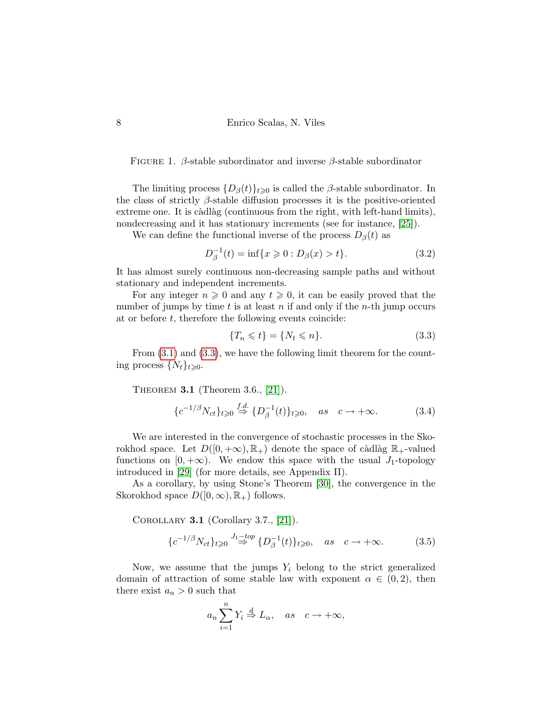FIGURE 1. β-stable subordinator and inverse β-stable subordinator

The limiting process  $\{D_{\beta}(t)\}_{t\geq0}$  is called the  $\beta$ -stable subordinator. In the class of strictly  $\beta$ -stable diffusion processes it is the positive-oriented extreme one. It is càdlàg (continuous from the right, with left-hand limits), nondecreasing and it has stationary increments (see for instance, [\[25\]](#page-16-4)).

We can define the functional inverse of the process  $D_{\beta}(t)$  as

<span id="page-7-1"></span>
$$
D_{\beta}^{-1}(t) = \inf\{x \ge 0 : D_{\beta}(x) > t\}.
$$
 (3.2)

It has almost surely continuous non-decreasing sample paths and without stationary and independent increments.

For any integer  $n \geq 0$  and any  $t \geq 0$ , it can be easily proved that the number of jumps by time t is at least n if and only if the n-th jump occurs at or before  $t$ , therefore the following events coincide:

<span id="page-7-0"></span>
$$
\{T_n \leqslant t\} = \{N_t \leqslant n\}.\tag{3.3}
$$

From  $(3.1)$  and  $(3.3)$ , we have the following limit theorem for the counting process  $\{N_t\}_{t\geqslant 0}$ .

Theorem 3.1 (Theorem 3.6., [\[21\]](#page-16-3)).

$$
\{c^{-1/\beta}N_{ct}\}_{t\geqslant 0}\stackrel{f.d.}{\Rightarrow}\{D_{\beta}^{-1}(t)\}_{t\geqslant 0}, \quad as \quad c\to+\infty. \tag{3.4}
$$

We are interested in the convergence of stochastic processes in the Skorokhod space. Let  $D([0, +\infty), \mathbb{R}_+)$  denote the space of càdlàg  $\mathbb{R}_+$ -valued functions on [0, + $\infty$ ). We endow this space with the usual J<sub>1</sub>-topology introduced in [\[29\]](#page-17-3) (for more details, see Appendix II).

As a corollary, by using Stone's Theorem [\[30\]](#page-17-4), the convergence in the Skorokhod space  $D([0,\infty),\mathbb{R}_+)$  follows.

COROLLARY 3.1 (Corollary 3.7.,  $[21]$ ).

$$
\{c^{-1/\beta}N_{ct}\}_{t\geqslant 0} \stackrel{J_1-top}{\Rightarrow} \{D_{\beta}^{-1}(t)\}_{t\geqslant 0}, \quad as \quad c \to +\infty. \tag{3.5}
$$

Now, we assume that the jumps  $Y_i$  belong to the strict generalized domain of attraction of some stable law with exponent  $\alpha \in (0, 2)$ , then there exist  $a_n > 0$  such that

$$
a_n \sum_{i=1}^n Y_i \stackrel{d}{\Rightarrow} L_\alpha, \quad as \quad c \to +\infty,
$$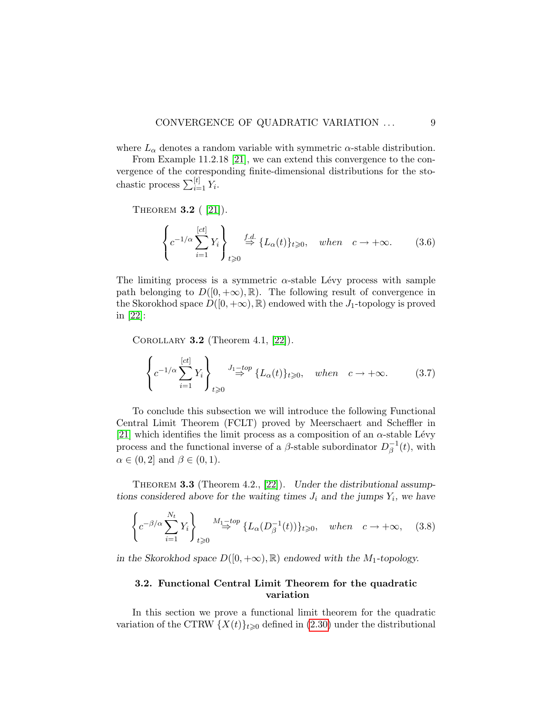where  $L_{\alpha}$  denotes a random variable with symmetric  $\alpha$ -stable distribution.

From Example 11.2.18 [\[21\]](#page-16-3), we can extend this convergence to the convergence of the corresponding finite-dimensional distributions for the stochastic process  $\sum_{i=1}^{[t]} Y_i$ .

THEOREM **3.2** ( $[21]$ ).

$$
\left\{ c^{-1/\alpha} \sum_{i=1}^{[ct]} Y_i \right\}_{t \geq 0} \stackrel{f.d.}{\Rightarrow} \{L_\alpha(t)\}_{t \geq 0}, \quad when \quad c \to +\infty. \tag{3.6}
$$

The limiting process is a symmetric  $\alpha$ -stable Lévy process with sample path belonging to  $D([0, +\infty), \mathbb{R})$ . The following result of convergence in the Skorokhod space  $D([0, +\infty), \mathbb{R})$  endowed with the  $J_1$ -topology is proved in [\[22\]](#page-16-5):

COROLLARY 3.2 (Theorem 4.1,  $[22]$ ).

$$
\left\{ c^{-1/\alpha} \sum_{i=1}^{[ct]} Y_i \right\}_{t \geq 0} \stackrel{J_1 - top}{\Rightarrow} \{L_\alpha(t)\}_{t \geq 0}, \quad when \quad c \to +\infty. \tag{3.7}
$$

To conclude this subsection we will introduce the following Functional Central Limit Theorem (FCLT) proved by Meerschaert and Scheffler in [\[21\]](#page-16-3) which identifies the limit process as a composition of an  $\alpha$ -stable Lévy process and the functional inverse of a  $\beta$ -stable subordinator  $D_{\beta}^{-1}$  $\bar{\beta}^{\text{-1}}(t)$ , with  $\alpha \in (0, 2]$  and  $\beta \in (0, 1)$ .

THEOREM 3.3 (Theorem 4.2., [\[22\]](#page-16-5)). Under the distributional assumptions considered above for the waiting times  $J_i$  and the jumps  $Y_i$ , we have

$$
\left\{ c^{-\beta/\alpha} \sum_{i=1}^{N_t} Y_i \right\}_{t \geq 0} \stackrel{M_1 \to top}{\Rightarrow} \{ L_\alpha(D_\beta^{-1}(t)) \}_{t \geq 0}, \quad when \quad c \to +\infty, \quad (3.8)
$$

in the Skorokhod space  $D([0, +\infty), \mathbb{R})$  endowed with the M<sub>1</sub>-topology.

# 3.2. Functional Central Limit Theorem for the quadratic variation

In this section we prove a functional limit theorem for the quadratic variation of the CTRW  $\{X(t)\}_{t\geqslant0}$  defined in [\(2.30\)](#page-5-2) under the distributional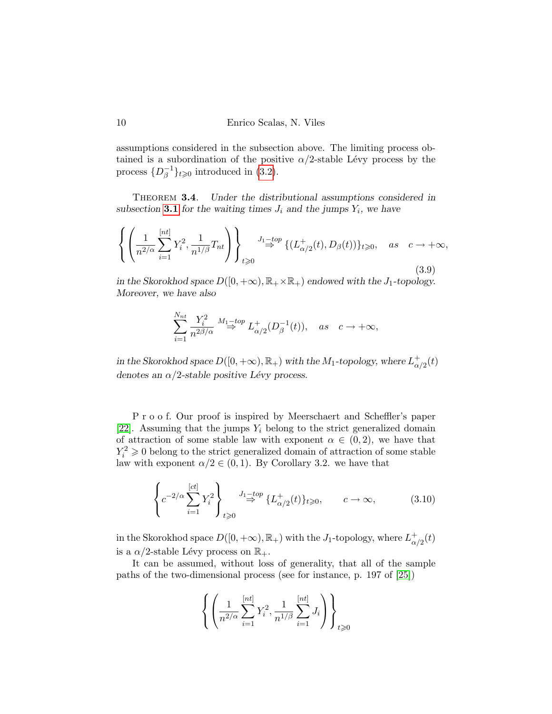assumptions considered in the subsection above. The limiting process obtained is a subordination of the positive  $\alpha/2$ -stable Lévy process by the process  $\{D_{\beta}^{-1}$  $\bar{\beta}^{1}\}_{t\geqslant 0}$  introduced in [\(3.2\)](#page-7-1).

THEOREM 3.4. Under the distributional assumptions considered in subsection [3.1](#page-6-1) for the waiting times  $J_i$  and the jumps  $Y_i$ , we have

$$
\left\{ \left( \frac{1}{n^{2/\alpha}} \sum_{i=1}^{[nt]} Y_i^2, \frac{1}{n^{1/\beta}} T_{nt} \right) \right\}_{t \geq 0} \stackrel{J_1-top}{\Rightarrow} \{ (L^+_{\alpha/2}(t), D_\beta(t)) \}_{t \geq 0}, \text{ as } c \to +\infty,
$$
\n(3.9)

in the Skorokhod space  $D([0, +\infty), \mathbb{R}_+ \times \mathbb{R}_+)$  endowed with the  $J_1$ -topology. Moreover, we have also

$$
\sum_{i=1}^{N_{nt}} \frac{Y_i^2}{n^{2\beta/\alpha}} \stackrel{M_1-top}{\Rightarrow} L^+_{\alpha/2}(D^{-1}_{\beta}(t)), \quad as \quad c \to +\infty,
$$

in the Skorokhod space  $D([0, +\infty), \mathbb{R}_+)$  with the  $M_1$ -topology, where  $L^+_\alpha$  $_{\alpha/2}^+(t)$ denotes an  $\alpha/2$ -stable positive Lévy process.

P r o o f. Our proof is inspired by Meerschaert and Scheffler's paper [\[22\]](#page-16-5). Assuming that the jumps  $Y_i$  belong to the strict generalized domain of attraction of some stable law with exponent  $\alpha \in (0, 2)$ , we have that  $Y_i^2 \geq 0$  belong to the strict generalized domain of attraction of some stable law with exponent  $\alpha/2 \in (0,1)$ . By Corollary 3.2. we have that

<span id="page-9-0"></span>
$$
\left\{ c^{-2/\alpha} \sum_{i=1}^{[ct]} Y_i^2 \right\}_{t \ge 0} \xrightarrow{J_1 - top} \{L^+_{\alpha/2}(t)\}_{t \ge 0}, \qquad c \to \infty,
$$
 (3.10)

in the Skorokhod space  $D([0, +\infty), \mathbb{R}_+)$  with the J<sub>1</sub>-topology, where  $L^+_{\alpha}$  $_{\alpha/2}^+(t)$ is a  $\alpha/2$ -stable Lévy process on  $\mathbb{R}_+$ .

It can be assumed, without loss of generality, that all of the sample paths of the two-dimensional process (see for instance, p. 197 of [\[25\]](#page-16-4))

$$
\left\{ \left( \frac{1}{n^{2/\alpha}} \sum_{i=1}^{[nt]} Y_i^2, \frac{1}{n^{1/\beta}} \sum_{i=1}^{[nt]} J_i \right) \right\}_{t \geq 0}
$$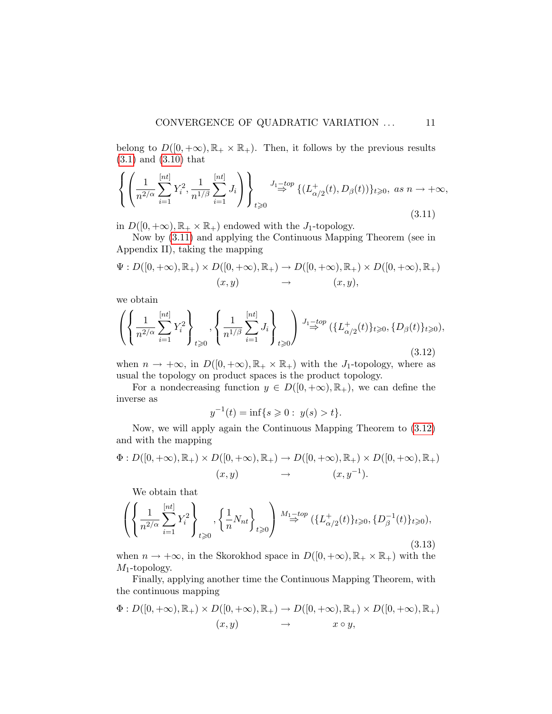belong to  $D([0, +\infty), \mathbb{R}_+ \times \mathbb{R}_+)$ . Then, it follows by the previous results [\(3.1\)](#page-6-0) and [\(3.10\)](#page-9-0) that

<span id="page-10-0"></span>
$$
\left\{ \left( \frac{1}{n^{2/\alpha}} \sum_{i=1}^{[nt]} Y_i^2, \frac{1}{n^{1/\beta}} \sum_{i=1}^{[nt]} J_i \right) \right\}_{t \geq 0} \stackrel{J_1-top}{\Rightarrow} \{ (L^+_{\alpha/2}(t), D_\beta(t)) \}_{t \geq 0}, \text{ as } n \to +\infty,
$$
\n(3.11)

in  $D([0, +\infty), \mathbb{R}_+ \times \mathbb{R}_+)$  endowed with the  $J_1$ -topology.

Now by [\(3.11\)](#page-10-0) and applying the Continuous Mapping Theorem (see in Appendix II), taking the mapping

$$
\Psi: D([0,+\infty), \mathbb{R}_+) \times D([0,+\infty), \mathbb{R}_+) \to D([0,+\infty), \mathbb{R}_+) \times D([0,+\infty), \mathbb{R}_+)
$$
  

$$
(x,y) \to (x,y),
$$

we obtain

<span id="page-10-1"></span>
$$
\left\{ \left\{ \frac{1}{n^{2/\alpha}} \sum_{i=1}^{[nt]} Y_i^2 \right\}_{t \geq 0}, \left\{ \frac{1}{n^{1/\beta}} \sum_{i=1}^{[nt]} J_i \right\}_{t \geq 0} \right\}_{\substack{J_1 = top \\ \Rightarrow} (\{L^+_{\alpha/2}(t)\}_{t \geq 0}, \{D_\beta(t)\}_{t \geq 0}),
$$
\n(3.12)

when  $n \to +\infty$ , in  $D([0, +\infty), \mathbb{R}_+ \times \mathbb{R}_+)$  with the J<sub>1</sub>-topology, where as usual the topology on product spaces is the product topology.

For a nondecreasing function  $y \in D([0, +\infty), \mathbb{R}_+)$ , we can define the inverse as

$$
y^{-1}(t) = \inf\{s \geq 0 : y(s) > t\}.
$$

Now, we will apply again the Continuous Mapping Theorem to [\(3.12\)](#page-10-1) and with the mapping

$$
\Phi: D([0,+\infty),\mathbb{R}_+) \times D([0,+\infty),\mathbb{R}_+) \to D([0,+\infty),\mathbb{R}_+) \times D([0,+\infty),\mathbb{R}_+)
$$
  

$$
(x,y) \to (x,y^{-1}).
$$

We obtain that

<span id="page-10-2"></span>
$$
\left( \left\{ \frac{1}{n^{2/\alpha}} \sum_{i=1}^{[nt]} Y_i^2 \right\}_{t \geq 0}, \left\{ \frac{1}{n} N_{nt} \right\}_{t \geq 0} \right) \stackrel{M_1-top}{\Rightarrow} (\{L^+_{\alpha/2}(t)\}_{t \geq 0}, \{D^{-1}_{\beta}(t)\}_{t \geq 0}),
$$
\n(3.13)

when  $n \to +\infty$ , in the Skorokhod space in  $D([0, +\infty), \mathbb{R}_+ \times \mathbb{R}_+)$  with the  $M_1$ -topology.

Finally, applying another time the Continuous Mapping Theorem, with the continuous mapping

$$
\Phi: D([0,+\infty),\mathbb{R}_+) \times D([0,+\infty),\mathbb{R}_+) \to D([0,+\infty),\mathbb{R}_+) \times D([0,+\infty),\mathbb{R}_+)
$$
  

$$
(x,y) \to x \circ y,
$$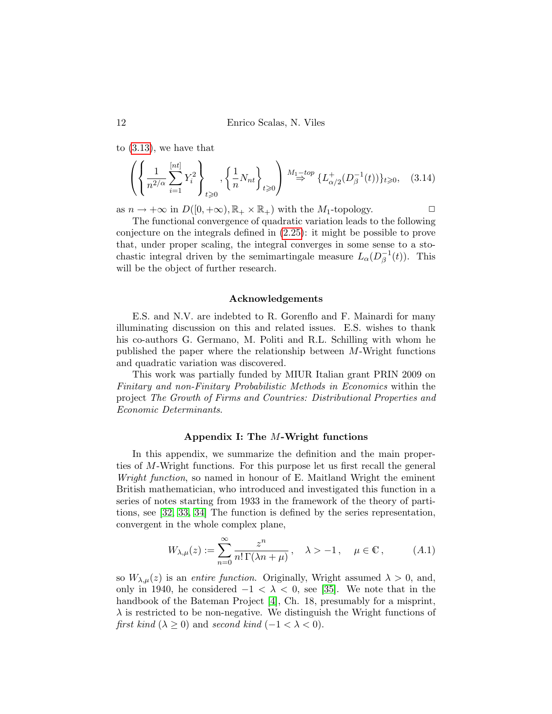to [\(3.13\)](#page-10-2), we have that

$$
\left( \left\{ \frac{1}{n^{2/\alpha}} \sum_{i=1}^{[nt]} Y_i^2 \right\}_{t \geq 0}, \left\{ \frac{1}{n} N_{nt} \right\}_{t \geq 0} \right) \stackrel{M_1 \to top}{\Rightarrow} \{ L^+_{\alpha/2} (D_\beta^{-1}(t)) \}_{t \geq 0}, \quad (3.14)
$$

as  $n \to +\infty$  in  $D([0, +\infty), \mathbb{R}_+ \times \mathbb{R}_+)$  with the  $M_1$ -topology.

The functional convergence of quadratic variation leads to the following conjecture on the integrals defined in [\(2.25\)](#page-4-1): it might be possible to prove that, under proper scaling, the integral converges in some sense to a stochastic integral driven by the semimartingale measure  $L_{\alpha}(D_{\beta}^{-1})$  $_{\beta}^{-1}(t)$ ). This will be the object of further research.

#### Acknowledgements

E.S. and N.V. are indebted to R. Gorenflo and F. Mainardi for many illuminating discussion on this and related issues. E.S. wishes to thank his co-authors G. Germano, M. Politi and R.L. Schilling with whom he published the paper where the relationship between M-Wright functions and quadratic variation was discovered.

This work was partially funded by MIUR Italian grant PRIN 2009 on Finitary and non-Finitary Probabilistic Methods in Economics within the project The Growth of Firms and Countries: Distributional Properties and Economic Determinants.

#### Appendix I: The M-Wright functions

In this appendix, we summarize the definition and the main properties of M-Wright functions. For this purpose let us first recall the general Wright function, so named in honour of E. Maitland Wright the eminent British mathematician, who introduced and investigated this function in a series of notes starting from 1933 in the framework of the theory of partitions, see [\[32,](#page-17-5) [33,](#page-17-6) [34\]](#page-17-7) The function is defined by the series representation, convergent in the whole complex plane,

$$
W_{\lambda,\mu}(z) := \sum_{n=0}^{\infty} \frac{z^n}{n! \Gamma(\lambda n + \mu)}, \quad \lambda > -1, \quad \mu \in \mathbb{C}, \quad (A.1)
$$

so  $W_{\lambda,\mu}(z)$  is an *entire function*. Originally, Wright assumed  $\lambda > 0$ , and, only in 1940, he considered  $-1 < \lambda < 0$ , see [\[35\]](#page-17-8). We note that in the handbook of the Bateman Project [\[4\]](#page-15-6), Ch. 18, presumably for a misprint,  $\lambda$  is restricted to be non-negative. We distinguish the Wright functions of first kind ( $\lambda \geq 0$ ) and second kind (-1 <  $\lambda$  < 0).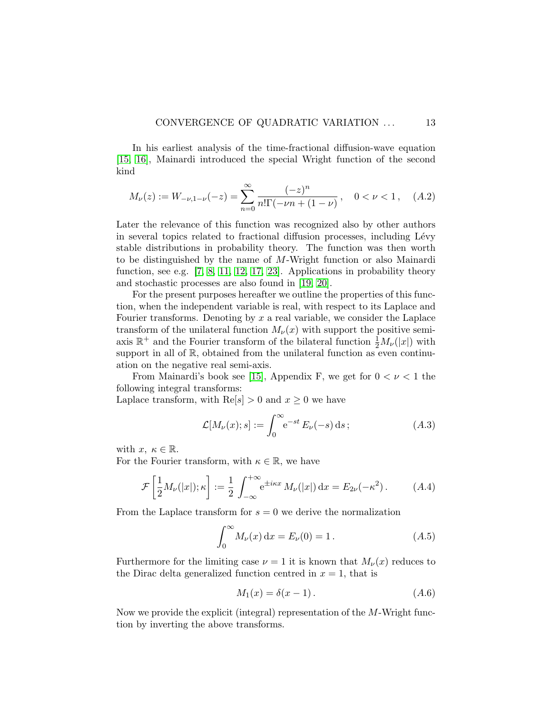In his earliest analysis of the time-fractional diffusion-wave equation [\[15,](#page-16-6) [16\]](#page-16-7), Mainardi introduced the special Wright function of the second kind

$$
M_{\nu}(z) := W_{-\nu,1-\nu}(-z) = \sum_{n=0}^{\infty} \frac{(-z)^n}{n!\Gamma(-\nu n + (1-\nu))}, \quad 0 < \nu < 1, \quad (A.2)
$$

Later the relevance of this function was recognized also by other authors in several topics related to fractional diffusion processes, including Lévy stable distributions in probability theory. The function was then worth to be distinguished by the name of M-Wright function or also Mainardi function, see e.g. [\[7,](#page-15-7) [8,](#page-15-8) [11,](#page-15-9) [12,](#page-16-8) [17,](#page-16-0) [23\]](#page-16-9). Applications in probability theory and stochastic processes are also found in [\[19,](#page-16-10) [20\]](#page-16-2).

For the present purposes hereafter we outline the properties of this function, when the independent variable is real, with respect to its Laplace and Fourier transforms. Denoting by  $x$  a real variable, we consider the Laplace transform of the unilateral function  $M_{\nu}(x)$  with support the positive semiaxis  $\mathbb{R}^+$  and the Fourier transform of the bilateral function  $\frac{1}{2}M_\nu(|x|)$  with support in all of  $\mathbb{R}$ , obtained from the unilateral function as even continuation on the negative real semi-axis.

From Mainardi's book see [\[15\]](#page-16-6), Appendix F, we get for  $0 < \nu < 1$  the following integral transforms:

Laplace transform, with  $\text{Re}[s] > 0$  and  $x \geq 0$  we have

$$
\mathcal{L}[M_{\nu}(x);s] := \int_0^\infty e^{-st} E_{\nu}(-s) ds; \qquad (A.3)
$$

with  $x, \kappa \in \mathbb{R}$ .

For the Fourier transform, with  $\kappa \in \mathbb{R}$ , we have

$$
\mathcal{F}\left[\frac{1}{2}M_{\nu}(|x|);\kappa\right] := \frac{1}{2}\int_{-\infty}^{+\infty} e^{\pm i\kappa x} M_{\nu}(|x|) dx = E_{2\nu}(-\kappa^2).
$$
 (A.4)

From the Laplace transform for  $s = 0$  we derive the normalization

$$
\int_0^\infty M_\nu(x) \, \mathrm{d}x = E_\nu(0) = 1 \,. \tag{A.5}
$$

Furthermore for the limiting case  $\nu = 1$  it is known that  $M_{\nu}(x)$  reduces to the Dirac delta generalized function centred in  $x = 1$ , that is

$$
M_1(x) = \delta(x - 1). \tag{A.6}
$$

Now we provide the explicit (integral) representation of the M-Wright function by inverting the above transforms.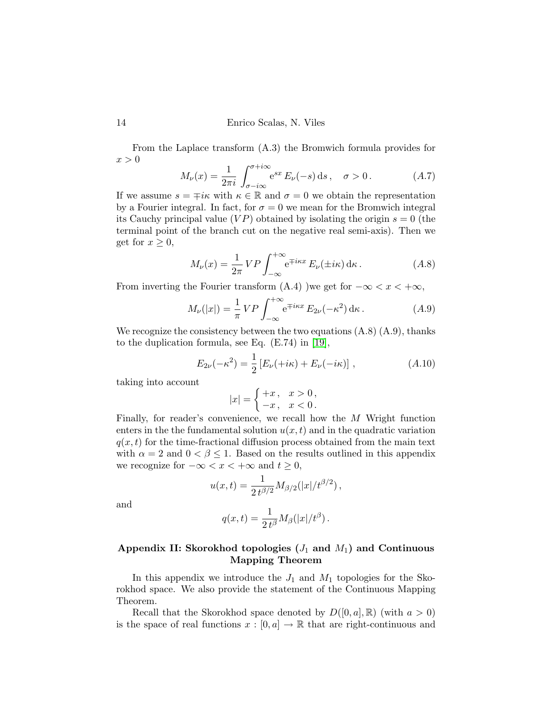From the Laplace transform (A.3) the Bromwich formula provides for  $x > 0$ 

$$
M_{\nu}(x) = \frac{1}{2\pi i} \int_{\sigma - i\infty}^{\sigma + i\infty} e^{sx} E_{\nu}(-s) ds, \quad \sigma > 0.
$$
 (A.7)

If we assume  $s = \pm i\kappa$  with  $\kappa \in \mathbb{R}$  and  $\sigma = 0$  we obtain the representation by a Fourier integral. In fact, for  $\sigma = 0$  we mean for the Bromwich integral its Cauchy principal value  $(VP)$  obtained by isolating the origin  $s = 0$  (the terminal point of the branch cut on the negative real semi-axis). Then we get for  $x \geq 0$ ,

$$
M_{\nu}(x) = \frac{1}{2\pi} VP \int_{-\infty}^{+\infty} e^{\mp i\kappa x} E_{\nu}(\pm i\kappa) d\kappa.
$$
 (A.8)

From inverting the Fourier transform  $(A.4)$  )we get for  $-\infty < x < +\infty$ ,

$$
M_{\nu}(|x|) = \frac{1}{\pi} VP \int_{-\infty}^{+\infty} e^{\mp i\kappa x} E_{2\nu}(-\kappa^2) d\kappa.
$$
 (A.9)

We recognize the consistency between the two equations  $(A.8)$   $(A.9)$ , thanks to the duplication formula, see Eq. (E.74) in [\[19\]](#page-16-10),

$$
E_{2\nu}(-\kappa^2) = \frac{1}{2} \left[ E_{\nu}(+i\kappa) + E_{\nu}(-i\kappa) \right], \qquad (A.10)
$$

taking into account

$$
|x| = \begin{cases} +x, & x > 0, \\ -x, & x < 0. \end{cases}
$$

Finally, for reader's convenience, we recall how the M Wright function enters in the the fundamental solution  $u(x, t)$  and in the quadratic variation  $q(x, t)$  for the time-fractional diffusion process obtained from the main text with  $\alpha = 2$  and  $0 < \beta \leq 1$ . Based on the results outlined in this appendix we recognize for  $-\infty < x < +\infty$  and  $t \geq 0$ ,

$$
u(x,t) = \frac{1}{2 t^{\beta/2}} M_{\beta/2}(|x|/t^{\beta/2}),
$$

and

$$
q(x,t) = \frac{1}{2 t^{\beta}} M_{\beta}(|x|/t^{\beta}).
$$

# Appendix II: Skorokhod topologies  $(J_1 \text{ and } M_1)$  and Continuous Mapping Theorem

In this appendix we introduce the  $J_1$  and  $M_1$  topologies for the Skorokhod space. We also provide the statement of the Continuous Mapping Theorem.

Recall that the Skorokhod space denoted by  $D([0, a], \mathbb{R})$  (with  $a > 0$ ) is the space of real functions  $x : [0, a] \to \mathbb{R}$  that are right-continuous and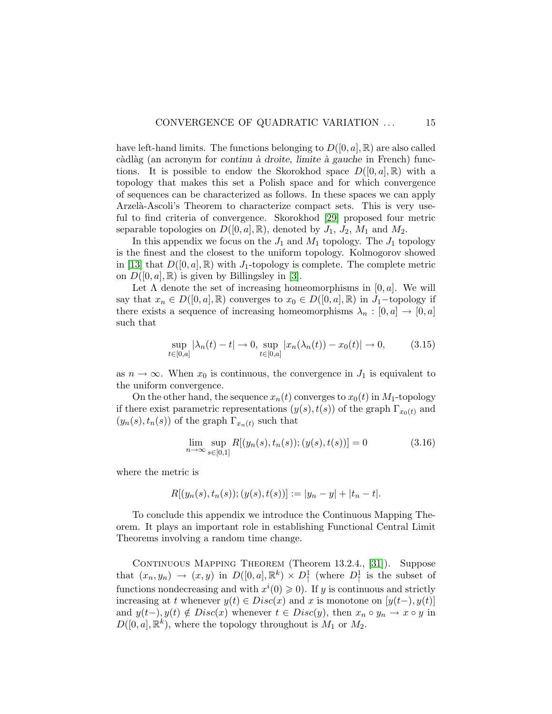have left-hand limits. The functions belonging to  $D([0, a], \mathbb{R})$  are also called  $c\text{àdla}g$  (an acronym for continu à droite, limite à gauche in French) functions. It is possible to endow the Skorokhod space  $D([0, a], \mathbb{R})$  with a topology that makes this set a Polish space and for which convergence of sequences can be characterized as follows. In these spaces we can apply Arzelà-Ascoli's Theorem to characterize compact sets. This is very useful to find criteria of convergence. Skorokhod [\[29\]](#page-17-3) proposed four metric separable topologies on  $D([0, a], \mathbb{R})$ , denoted by  $J_1$ ,  $J_2$ ,  $M_1$  and  $M_2$ .

In this appendix we focus on the  $J_1$  and  $M_1$  topology. The  $J_1$  topology is the finest and the closest to the uniform topology. Kolmogorov showed in [\[13\]](#page-16-11) that  $D([0, a], \mathbb{R})$  with  $J_1$ -topology is complete. The complete metric on  $D([0, a], \mathbb{R})$  is given by Billingsley in [\[3\]](#page-15-10).

Let  $\Lambda$  denote the set of increasing homeomorphisms in [0, a]. We will say that  $x_n \in D([0, a], \mathbb{R})$  converges to  $x_0 \in D([0, a], \mathbb{R})$  in  $J_1$ -topology if there exists a sequence of increasing homeomorphisms  $\lambda_n : [0, a] \to [0, a]$ such that

$$
\sup_{t \in [0,a]} |\lambda_n(t) - t| \to 0, \sup_{t \in [0,a]} |x_n(\lambda_n(t)) - x_0(t)| \to 0,
$$
\n(3.15)

as  $n \to \infty$ . When  $x_0$  is continuous, the convergence in  $J_1$  is equivalent to the uniform convergence.

On the other hand, the sequence  $x_n(t)$  converges to  $x_0(t)$  in  $M_1$ -topology if there exist parametric representations  $(y(s), t(s))$  of the graph  $\Gamma_{x_0(t)}$  and  $(y_n(s), t_n(s))$  of the graph  $\Gamma_{x_n(t)}$  such that

$$
\lim_{n \to \infty} \sup_{s \in [0,1]} R[(y_n(s), t_n(s)); (y(s), t(s))] = 0
$$
\n(3.16)

where the metric is

$$
R[(y_n(s), t_n(s)); (y(s), t(s))] := |y_n - y| + |t_n - t|.
$$

To conclude this appendix we introduce the Continuous Mapping Theorem. It plays an important role in establishing Functional Central Limit Theorems involving a random time change.

CONTINUOUS MAPPING THEOREM (Theorem 13.2.4., [\[31\]](#page-17-9)). Suppose that  $(x_n, y_n) \to (x, y)$  in  $D([0, a], \mathbb{R}^k) \times D^1$  (where  $D^1$  is the subset of functions nondecreasing and with  $x^i(0) \geq 0$ . If y is continuous and strictly increasing at t whenever  $y(t) \in Disc(x)$  and x is monotone on  $[y(t-), y(t)]$ and  $y(t-), y(t) \notin Disc(x)$  whenever  $t \in Disc(y)$ , then  $x_n \circ y_n \to x \circ y$  in  $D([0, a], \mathbb{R}^k)$ , where the topology throughout is  $M_1$  or  $M_2$ .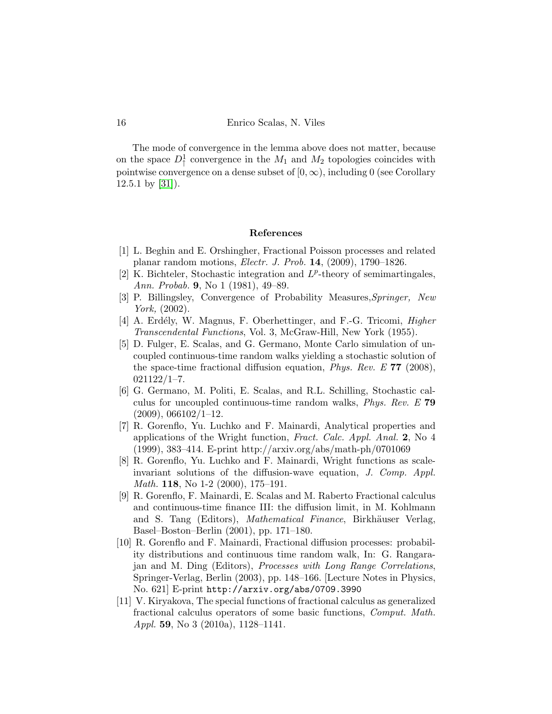The mode of convergence in the lemma above does not matter, because on the space  $D_1^1$  convergence in the  $M_1$  and  $M_2$  topologies coincides with pointwise convergence on a dense subset of  $[0, \infty)$ , including 0 (see Corollary  $12.5.1$  by  $[31]$ ).

# References

- <span id="page-15-4"></span>[1] L. Beghin and E. Orshingher, Fractional Poisson processes and related planar random motions, Electr. J. Prob. 14, (2009), 1790–1826.
- <span id="page-15-5"></span>[2] K. Bichteler, Stochastic integration and  $L^p$ -theory of semimartingales, Ann. Probab. 9, No 1 (1981), 49–89.
- <span id="page-15-10"></span>[3] P. Billingsley, Convergence of Probability Measures,Springer, New York, (2002).
- <span id="page-15-6"></span>[4] A. Erdély, W. Magnus, F. Oberhettinger, and F.-G. Tricomi, *Higher* Transcendental Functions, Vol. 3, McGraw-Hill, New York (1955).
- <span id="page-15-3"></span>[5] D. Fulger, E. Scalas, and G. Germano, Monte Carlo simulation of uncoupled continuous-time random walks yielding a stochastic solution of the space-time fractional diffusion equation, Phys. Rev. E 77 (2008),  $021122/1 - 7.$
- <span id="page-15-0"></span>[6] G. Germano, M. Politi, E. Scalas, and R.L. Schilling, Stochastic calculus for uncoupled continuous-time random walks, Phys. Rev. E 79  $(2009), 066102/1-12.$
- <span id="page-15-7"></span>[7] R. Gorenflo, Yu. Luchko and F. Mainardi, Analytical properties and applications of the Wright function, Fract. Calc. Appl. Anal. 2, No 4 (1999), 383–414. E-print http://arxiv.org/abs/math-ph/0701069
- <span id="page-15-8"></span>[8] R. Gorenflo, Yu. Luchko and F. Mainardi, Wright functions as scaleinvariant solutions of the diffusion-wave equation, J. Comp. Appl. Math. 118, No 1-2 (2000), 175–191.
- <span id="page-15-1"></span>[9] R. Gorenflo, F. Mainardi, E. Scalas and M. Raberto Fractional calculus and continuous-time finance III: the diffusion limit, in M. Kohlmann and S. Tang (Editors), Mathematical Finance, Birkhäuser Verlag, Basel–Boston–Berlin (2001), pp. 171–180.
- <span id="page-15-2"></span>[10] R. Gorenflo and F. Mainardi, Fractional diffusion processes: probability distributions and continuous time random walk, In: G. Rangarajan and M. Ding (Editors), Processes with Long Range Correlations, Springer-Verlag, Berlin (2003), pp. 148–166. [Lecture Notes in Physics, No. 621] E-print http://arxiv.org/abs/0709.3990
- <span id="page-15-9"></span>[11] V. Kiryakova, The special functions of fractional calculus as generalized fractional calculus operators of some basic functions, Comput. Math. Appl. 59, No 3 (2010a), 1128–1141.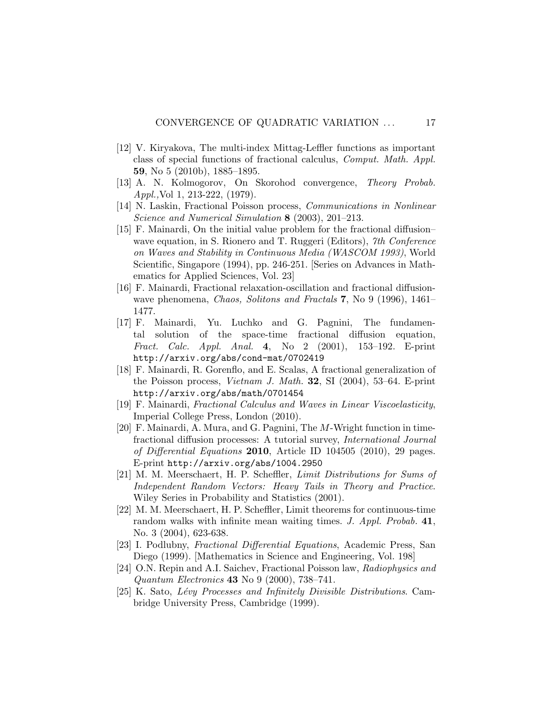- <span id="page-16-8"></span>[12] V. Kiryakova, The multi-index Mittag-Leffler functions as important class of special functions of fractional calculus, Comput. Math. Appl. 59, No 5 (2010b), 1885–1895.
- <span id="page-16-11"></span>[13] A. N. Kolmogorov, On Skorohod convergence, Theory Probab. Appl.,Vol 1, 213-222, (1979).
- [14] N. Laskin, Fractional Poisson process, Communications in Nonlinear Science and Numerical Simulation 8 (2003), 201-213.
- <span id="page-16-6"></span>[15] F. Mainardi, On the initial value problem for the fractional diffusion– wave equation, in S. Rionero and T. Ruggeri (Editors), 7th Conference on Waves and Stability in Continuous Media (WASCOM 1993), World Scientific, Singapore (1994), pp. 246-251. [Series on Advances in Mathematics for Applied Sciences, Vol. 23]
- <span id="page-16-7"></span>[16] F. Mainardi, Fractional relaxation-oscillation and fractional diffusionwave phenomena, Chaos, Solitons and Fractals 7, No 9 (1996), 1461– 1477.
- <span id="page-16-0"></span>[17] F. Mainardi, Yu. Luchko and G. Pagnini, The fundamental solution of the space-time fractional diffusion equation, Fract. Calc. Appl. Anal. 4, No 2 (2001), 153–192. E-print http://arxiv.org/abs/cond-mat/0702419
- <span id="page-16-1"></span>[18] F. Mainardi, R. Gorenflo, and E. Scalas, A fractional generalization of the Poisson process, Vietnam J. Math. 32, SI (2004), 53–64. E-print http://arxiv.org/abs/math/0701454
- <span id="page-16-10"></span>[19] F. Mainardi, Fractional Calculus and Waves in Linear Viscoelasticity, Imperial College Press, London (2010).
- <span id="page-16-2"></span>[20] F. Mainardi, A. Mura, and G. Pagnini, The M-Wright function in timefractional diffusion processes: A tutorial survey, International Journal of Differential Equations 2010, Article ID 104505 (2010), 29 pages. E-print http://arxiv.org/abs/1004.2950
- <span id="page-16-3"></span>[21] M. M. Meerschaert, H. P. Scheffler, Limit Distributions for Sums of Independent Random Vectors: Heavy Tails in Theory and Practice. Wiley Series in Probability and Statistics (2001).
- <span id="page-16-5"></span>[22] M. M. Meerschaert, H. P. Scheffler, Limit theorems for continuous-time random walks with infinite mean waiting times. J. Appl. Probab. 41, No. 3 (2004), 623-638.
- <span id="page-16-9"></span>[23] I. Podlubny, Fractional Differential Equations, Academic Press, San Diego (1999). [Mathematics in Science and Engineering, Vol. 198]
- [24] O.N. Repin and A.I. Saichev, Fractional Poisson law, Radiophysics and Quantum Electronics 43 No 9 (2000), 738–741.
- <span id="page-16-4"></span>[25] K. Sato, Lévy Processes and Infinitely Divisible Distributions. Cambridge University Press, Cambridge (1999).